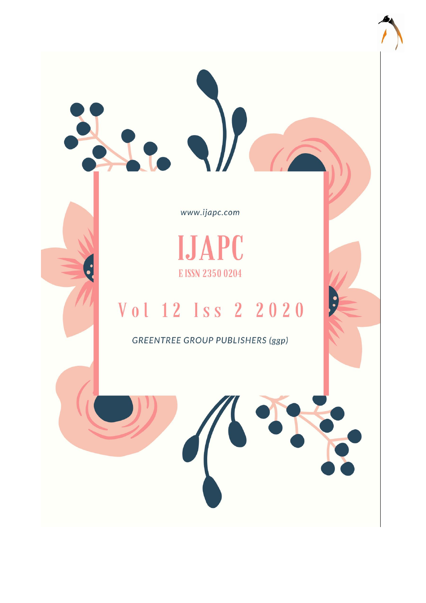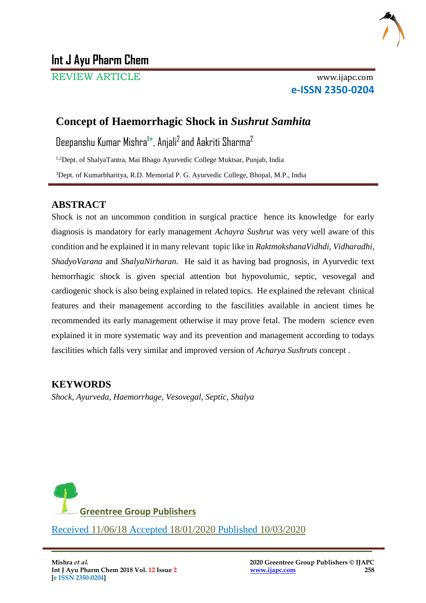

# **Int J Ayu Pharm Chem**

REVIEW ARTICLE www.ijapc.com

**e-ISSN 2350-0204**

# **Concept of Haemorrhagic Shock in** *Sushrut Samhita*

Deepanshu Kumar Mishra<sup>1</sup>\*, Anjali<sup>2</sup> and Aakriti Sharma<sup>2</sup>

1,2Dept. of ShalyaTantra, Mai Bhago Ayurvedic College Muktsar, Punjab, India

<sup>3</sup>Dept. of Kumarbharitya, R.D. Memorial P. G. Ayurvedic College, Bhopal, M.P., India

## **ABSTRACT**

Shock is not an uncommon condition in surgical practice hence its knowledge for early diagnosis is mandatory for early management *Achayra Sushrut* was very well aware of this condition and he explained it in many relevant topic like in *RaktmokshanaVidhdi, Vidharadhi, ShadyoVarana* and *ShalyaNirharan.* He said it as having bad prognosis, in Ayurvedic text hemorrhagic shock is given special attention but hypovolumic, septic, vesovegal and cardiogenic shock is also being explained in related topics. He explained the relevant clinical features and their management according to the fascilities available in ancient times he recommended its early management otherwise it may prove fetal. The modern science even explained it in more systematic way and its prevention and management according to todays fascilities which falls very similar and improved version of *Acharya Sushruts* concept .

## **KEYWORDS**

*Shock, Ayurveda, Haemorrhage, Vesovegal, Septic, Shalya*



\_\_\_\_\_\_\_\_\_\_\_\_\_\_\_\_\_\_\_\_\_\_\_\_\_\_\_\_\_\_\_\_\_\_\_\_\_\_\_\_\_\_\_\_\_\_\_\_\_\_\_\_\_\_\_\_\_\_\_\_\_\_\_\_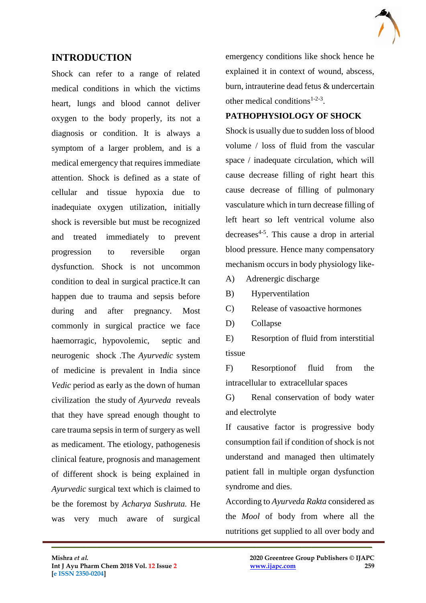

### **INTRODUCTION**

Shock can refer to a range of related medical conditions in which the victims heart, lungs and blood cannot deliver oxygen to the body properly, its not a diagnosis or condition. It is always a symptom of a larger problem, and is a medical emergency that requires immediate attention. Shock is defined as a state of cellular and tissue hypoxia due to inadequiate oxygen utilization, initially shock is reversible but must be recognized and treated immediately to prevent progression to reversible organ dysfunction. Shock is not uncommon condition to deal in surgical practice.It can happen due to trauma and sepsis before during and after pregnancy. Most commonly in surgical practice we face haemorragic, hypovolemic, septic and neurogenic shock .The *Ayurvedic* system of medicine is prevalent in India since *Vedic* period as early as the down of human civilization the study of *Ayurveda* reveals that they have spread enough thought to care trauma sepsis in term of surgery as well as medicament. The etiology, pathogenesis clinical feature, prognosis and management of different shock is being explained in *Ayurvedic* surgical text which is claimed to be the foremost by *Acharya Sushruta.* He was very much aware of surgical emergency conditions like shock hence he explained it in context of wound, abscess, burn, intrauterine dead fetus & undercertain other medical conditions<sup>1-2-3</sup>.

#### **PATHOPHYSIOLOGY OF SHOCK**

Shock is usually due to sudden loss of blood volume / loss of fluid from the vascular space / inadequate circulation, which will cause decrease filling of right heart this cause decrease of filling of pulmonary vasculature which in turn decrease filling of left heart so left ventrical volume also decreases<sup>4-5</sup>. This cause a drop in arterial blood pressure. Hence many compensatory mechanism occurs in body physiology like-

- A) Adrenergic discharge
- B) Hyperventilation
- C) Release of vasoactive hormones
- D) Collapse

 $\mathcal{L}_\mathcal{L}$  , and the contribution of the contribution of the contribution of the contribution of the contribution of the contribution of the contribution of the contribution of the contribution of the contribution of

E) Resorption of fluid from interstitial tissue

F) Resorptionof fluid from the intracellular to extracellular spaces

G) Renal conservation of body water and electrolyte

If causative factor is progressive body consumption fail if condition of shock is not understand and managed then ultimately patient fall in multiple organ dysfunction syndrome and dies.

According to *Ayurveda Rakta* considered as the *Mool* of body from where all the nutritions get supplied to all over body and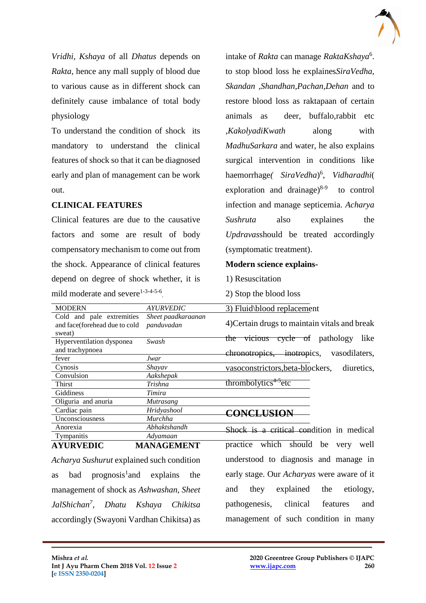*Vridhi, Kshaya* of all *Dhatus* depends on *Rakta*, hence any mall supply of blood due to various cause as in different shock can definitely cause imbalance of total body physiology

To understand the condition of shock its mandatory to understand the clinical features of shock so that it can be diagnosed early and plan of management can be work out.

### **CLINICAL FEATURES**

Cold and pale extremities and face(forehead due to cold

Hyperventilation dysponea

fever *Jwar* Cynosis *Shayav* Convulsion *Aakshepak* Thirst *Trishna* Giddiness *Timira* Oliguria and anuria *Mutrasang* Cardiac pain *Hridyashool* Unconsciousness *Murchha* Anorexia *Abhaktshandh* Tympanitis *Adyamaan* **AYURVEDIC MANAGEMENT** 

and trachypnoea

sweat)

Clinical features are due to the causative factors and some are result of body compensatory mechanism to come out from the shock. Appearance of clinical features depend on degree of shock whether, it is mild moderate and severe $1-3-4-5-6$ .

MODERN *AYURVEDIC* 

*Sheet paadkaraanan*

*panduvadan*

*Swash* 

intake of *Rakta* can manage *RaktaKshaya*<sup>6</sup> . to stop blood loss he explaines*SiraVedha, Skandan ,Shandhan,Pachan,Dehan* and to restore blood loss as raktapaan of certain animals as deer, buffalo,rabbit etc ,*KakolyadiKwath* along with *MadhuSarkara* and water, he also explains surgical intervention in conditions like haemorrhage*( SiraVedha*) 6 , *Vidharadhi*( exploration and drainage) $8-9$  to control infection and manage septicemia. *Acharya Sushruta* also explaines the *Updravas*should be treated accordingly (symptomatic treatment).

#### **Modern science explains-**

1) Resuscitation

2) Stop the blood loss

3) Fluid\blood replacement

4)Certain drugs to maintain vitals and break the vicious cycle of pathology like chronotropics, inotropics, vasodilaters, vasoconstrictors,beta-blockers, diuretics, thrombolytics<sup>4-5</sup>etc

### **CONCLUSION**

 $\mathcal{L}_\mathcal{L}$  , and the contribution of the contribution of the contribution of the contribution of the contribution of the contribution of the contribution of the contribution of the contribution of the contribution of

Shock is a critical condition in medical practice which should be very well understood to diagnosis and manage in early stage. Our *Acharyas* were aware of it and they explained the etiology, pathogenesis, clinical features and management of such condition in many

*Acharya Sushurut* explained such condition as bad prognosis<sup>1</sup> and explains the management of shock as *Ashwashan, Sheet JalShichan<sup>7</sup> , Dhatu Kshaya Chikitsa* accordingly (Swayoni Vardhan Chikitsa) as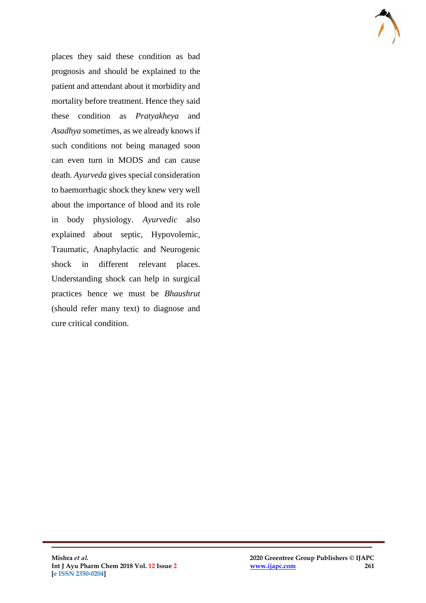

places they said these condition as bad prognosis and should be explained to the patient and attendant about it morbidity and mortality before treatment. Hence they said these condition as *Pratyakheya* and *Asadhya* sometimes, as we already knows if such conditions not being managed soon can even turn in MODS and can cause death. *Ayurveda* gives special consideration to haemorrhagic shock they knew very well about the importance of blood and its role in body physiology. *Ayurvedic* also explained about septic, Hypovolemic, Traumatic, Anaphylactic and Neurogenic shock in different relevant places. Understanding shock can help in surgical practices hence we must be *Bhaushrut* (should refer many text) to diagnose and cure critical condition.

 $\mathcal{L}_\mathcal{L}$  , and the contribution of the contribution of the contribution of the contribution of the contribution of the contribution of the contribution of the contribution of the contribution of the contribution of